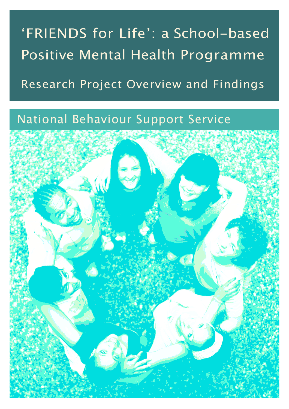# 'FRIENDS for Life': a School-based Positive Mental Health Programme

Research Project Overview and Findings

## National Behaviour Support Service

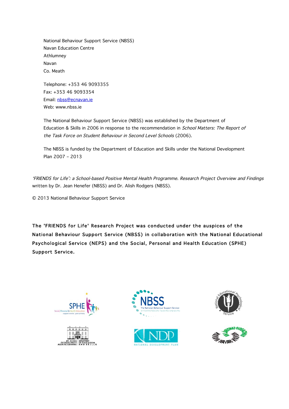National Behaviour Support Service (NBSS) Navan Education Centre Athlumney Navan Co. Meath

Telephone: +353 46 9093355 Fax: +353 46 9093354 Email: nbss@ecnavan.ie Web: www.nbss.ie

The National Behaviour Support Service (NBSS) was established by the Department of Education & Skills in 2006 in response to the recommendation in School Matters: The Report of the Task Force on Student Behaviour in Second Level Schools (2006).

The NBSS is funded by the Department of Education and Skills under the National Development Plan 2007 – 2013

'FRIENDS for Life': a School-based Positive Mental Health Programme. Research Project Overview and Findings written by Dr. Jean Henefer (NBSS) and Dr. Alish Rodgers (NBSS).

© 2013 National Behaviour Support Service

The 'FRIENDS for Life' Research Project was conducted under the auspices of the National Behaviour Support Service (NBSS) in collaboration with the National Educational Psychological Service (NEPS) and the Social, Personal and Health Education (SPHE) Support Service.











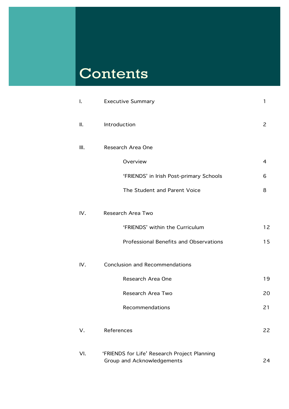# Contents

| I.   | <b>Executive Summary</b>                                                   | 1              |
|------|----------------------------------------------------------------------------|----------------|
| Ш.   | Introduction                                                               | $\overline{2}$ |
| III. | Research Area One                                                          |                |
|      | Overview                                                                   | $\overline{a}$ |
|      | 'FRIENDS' in Irish Post-primary Schools                                    | 6              |
|      | The Student and Parent Voice                                               | 8              |
| IV.  | Research Area Two                                                          |                |
|      | 'FRIENDS' within the Curriculum                                            | 12             |
|      | Professional Benefits and Observations                                     | 15             |
| IV.  | <b>Conclusion and Recommendations</b>                                      |                |
|      | Research Area One                                                          | 19             |
|      | Research Area Two                                                          | 20             |
|      | Recommendations                                                            | 21             |
| V.   | References                                                                 | 22             |
| VI.  | 'FRIENDS for Life' Research Project Planning<br>Group and Acknowledgements | 24             |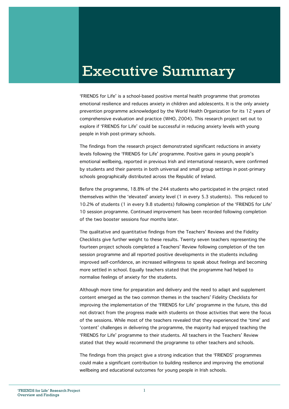## Executive Summary

**dolor** comprehensive evaluation and practice (WHO, 2004). This research project set out to 'FRIENDS for Life' is a school-based positive mental health programme that promotes emotional resilience and reduces anxiety in children and adolescents. It is the only anxiety prevention programme acknowledged by the World Health Organization for its 12 years of explore if 'FRIENDS for Life' could be successful in reducing anxiety levels with young people in Irish post-primary schools.

The findings from the research project demonstrated significant reductions in anxiety levels following the 'FRIENDS for Life' programme. Positive gains in young people's emotional wellbeing, reported in previous Irish and international research, were confirmed by students and their parents in both universal and small group settings in post-primary schools geographically distributed across the Republic of Ireland.

Before the programme, 18.8% of the 244 students who participated in the project rated themselves within the 'elevated' anxiety level (1 in every 5.3 students). This reduced to 10.2% of students (1 in every 9.8 students) following completion of the 'FRIENDS for Life' 10 session programme. Continued improvement has been recorded following completion of the two booster sessions four months later.

The qualitative and quantitative findings from the Teachers' Reviews and the Fidelity Checklists give further weight to these results. Twenty seven teachers representing the fourteen project schools completed a Teachers' Review following completion of the ten session programme and all reported positive developments in the students including improved self-confidence, an increased willingness to speak about feelings and becoming more settled in school. Equally teachers stated that the programme had helped to normalise feelings of anxiety for the students.

Although more time for preparation and delivery and the need to adapt and supplement content emerged as the two common themes in the teachers' Fidelity Checklists for improving the implementation of the 'FRIENDS for Life' programme in the future, this did not distract from the progress made with students on those activities that were the focus of the sessions. While most of the teachers revealed that they experienced the 'time' and 'content' challenges in delivering the programme, the majority had enjoyed teaching the 'FRIENDS for Life' programme to their students. All teachers in the Teachers' Review stated that they would recommend the programme to other teachers and schools.

The findings from this project give a strong indication that the 'FRIENDS' programmes could make a significant contribution to building resilience and improving the emotional wellbeing and educational outcomes for young people in Irish schools.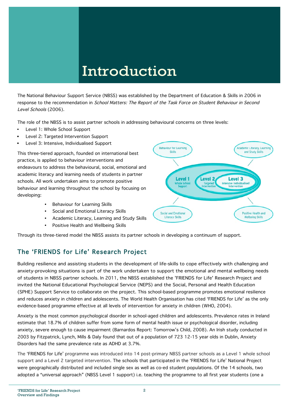## Introduction

The National Behaviour Support Service (NBSS) was established by the Department of Education & Skills in 2006 in response to the recommendation in School Matters: The Report of the Task Force on Student Behaviour in Second Level Schools (2006).

The role of the NBSS is to assist partner schools in addressing behavioural concerns on three levels:

- Level 1: Whole School Support
- Level 2: Targeted Intervention Support
- Level 3: Intensive, Individualised Support

This three-tiered approach, founded on international best practice, is applied to behaviour interventions and endeavours to address the behavioural, social, emotional and academic literacy and learning needs of students in partner schools. All work undertaken aims to promote positive behaviour and learning throughout the school by focusing on developing:

- Behaviour for Learning Skills
- Social and Emotional Literacy Skills
- Academic Literacy, Learning and Study Skills
- Positive Health and Wellbeing Skills



Through its three-tiered model the NBSS assists its partner schools in developing a continuum of support.

### The 'FRIENDS for Life' Research Project

Building resilience and assisting students in the development of life-skills to cope effectively with challenging and anxiety-provoking situations is part of the work undertaken to support the emotional and mental wellbeing needs of students in NBSS partner schools. In 2011, the NBSS established the 'FRIENDS for Life' Research Project and invited the National Educational Psychological Service (NEPS) and the Social, Personal and Health Education (SPHE) Support Service to collaborate on the project. This school-based programme promotes emotional resilience and reduces anxiety in children and adolescents. The World Health Organisation has cited 'FRIENDS for Life' as the only evidence-based programme effective at all levels of intervention for anxiety in children (WHO, 2004).

2003 by Fitzpatrick, Lynch, Mills & Daly found that out of a population of 723 12-15 year olds in Dublin, Anxiety Anxiety is the most common psychological disorder in school-aged children and adolescents. Prevalence rates in Ireland estimate that 18.7% of children suffer from some form of mental health issue or psychological disorder, including anxiety, severe enough to cause impairment (Barnardos Report: Tomorrow's Child, 2008). An Irish study conducted in Disorders had the same prevalence rate as ADHD at 3.7%.

The 'FRIENDS for Life' programme was introduced into 14 post-primary NBSS partner schools as a Level 1 whole school support and a Level 2 targeted intervention. The schools that participated in the 'FRIENDS for Life' National Project were geographically distributed and included single sex as well as co-ed student populations. Of the 14 schools, two adopted a "universal approach" (NBSS Level 1 support) i.e. teaching the programme to all first year students (one a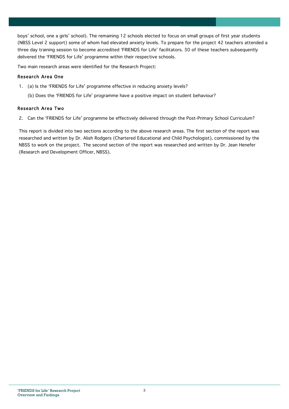boys' school, one a girls' school). The remaining 12 schools elected to focus on small groups of first year students (NBSS Level 2 support) some of whom had elevated anxiety levels. To prepare for the project 42 teachers attended a three day training session to become accredited 'FRIENDS for Life' facilitators. 30 of these teachers subsequently delivered the 'FRIENDS for Life' programme within their respective schools.

Two main research areas were identified for the Research Project:

#### Research Area One

- 1. (a) Is the 'FRIENDS for Life' programme effective in reducing anxiety levels?
	- (b) Does the 'FRIENDS for Life' programme have a positive impact on student behaviour?

#### Research Area Two

2. Can the 'FRIENDS for Life' programme be effectively delivered through the Post-Primary School Curriculum?

This report is divided into two sections according to the above research areas. The first section of the report was researched and written by Dr. Alish Rodgers (Chartered Educational and Child Psychologist), commissioned by the NBSS to work on the project. The second section of the report was researched and written by Dr. Jean Henefer (Research and Development Officer, NBSS).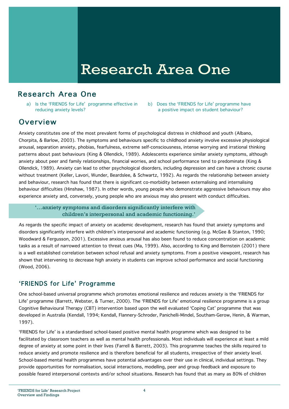## Research Area One

## Research Area One

a) Is the 'FRIENDS for Life' programme effective in reducing anxiety levels?

b) Does the 'FRIENDS for Life' programme have a positive impact on student behaviour?

## **Overview**

Anxiety constitutes one of the most prevalent forms of psychological distress in childhood and youth (Albano, Chorpita, & Barlow, 2003). The symptoms and behaviours specific to childhood anxiety involve excessive physiological arousal, separation anxiety, phobias, fearfulness, extreme self-consciousness, intense worrying and irrational thinking patterns about past behaviours (King & Ollendick, 1989). Adolescents experience similar anxiety symptoms, although anxiety about peer and family relationships, financial worries, and school performance tend to predominate (King & Ollendick, 1989). Anxiety can lead to other psychological disorders, including depression and can have a chronic course without treatment (Keller, Lavori, Wunder, Beardslee, & Schwartz, 1992). As regards the relationship between anxiety and behaviour, research has found that there is significant co-morbidity between externalising and internalising behaviour difficulties (Hinshaw, 1987). In other words, young people who demonstrate aggressive behaviours may also experience anxiety and, conversely, young people who are anxious may also present with conduct difficulties.

'…anxiety symptoms and disorders significantly interfere with children's interpersonal and academic functioning.'

As regards the specific impact of anxiety on academic development, research has found that anxiety symptoms and disorders significantly interfere with children's interpersonal and academic functioning (e.g. McGee & Stanton, 1990; Woodward & Fergusson, 2001). Excessive anxious arousal has also been found to reduce concentration on academic tasks as a result of narrowed attention to threat cues (Ma, 1999). Also, according to King and Bernstein (2001) there is a well established correlation between school refusal and anxiety symptoms. From a positive viewpoint, research has shown that intervening to decrease high anxiety in students can improve school performance and social functioning (Wood, 2006).

## 'FRIENDS for Life' Programme

One school-based universal programme which promotes emotional resilience and reduces anxiety is the 'FRIENDS for Life' programme (Barrett, Webster, & Turner, 2000). The 'FRIENDS for Life' emotional resilience programme is a group Cognitive Behavioural Therapy (CBT) intervention based upon the well evaluated 'Coping Cat' programme that was developed in Australia (Kendall, 1994; Kendall, Flannery-Schroder, Panichelli-Mindel, Southam-Gerow, Henin, & Warman, 1997).

'FRIENDS for Life' is a standardised school-based positive mental health programme which was designed to be facilitated by classroom teachers as well as mental health professionals. Most individuals will experience at least a mild degree of anxiety at some point in their lives (Farrell & Barrett, 2003). This programme teaches the skills required to reduce anxiety and promote resilience and is therefore beneficial for all students, irrespective of their anxiety level. School-based mental health programmes have potential advantages over their use in clinical, individual settings. They provide opportunities for normalisation, social interactions, modelling, peer and group feedback and exposure to possible feared interpersonal contexts and/or school situations. Research has found that as many as 80% of children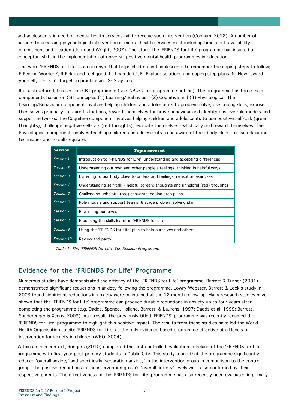and adolescents in need of mental health services fail to receive such intervention (Cobham, 2012). A number of barriers to accessing psychological intervention in mental health services exist including time, cost, availability, commitment and location (Jorm and Wright, 2007). Therefore, the 'FRIENDS for Life' programme has inspired a conceptual shift in the implementation of universal positive mental health programmes in education.

The word 'FRIENDS for Life' is an acronym that helps children and adolescents to remember the coping steps to follow; F-Feeling Worried?, R-Relax and feel good, I – I can do it!, E- Explore solutions and coping step plans, N- Now reward yourself, D – Don't forget to practice and S- Stay cool!

It is a structured, ten-session CBT programme (see Table 1 for programme outline). The programme has three main components based on CBT principles (1) Learning/ Behaviour, (2) Cognitive and (3) Physiological. The Learning/Behaviour component involves helping children and adolescents to problem solve, use coping skills, expose themselves gradually to feared situations, reward themselves for brave behaviour and identify positive role models and support networks. The Cognitive component involves helping children and adolescents to use positive self-talk (green thoughts), challenge negative self-talk (red thoughts), evaluate themselves realistically and reward themselves. The Physiological component involves teaching children and adolescents to be aware of their body clues, to use relaxation techniques and to self-regulate.

| <b>Session</b>   | <b>Topic covered</b>                                                            |  |  |
|------------------|---------------------------------------------------------------------------------|--|--|
| Session 1        | Introduction to 'FRIENDS for Life', understanding and accepting differences     |  |  |
| Session 2        | Understanding our own and other people's feelings, thinking in helpful ways     |  |  |
| Session 3        | Listening to our body clues to understand feelings, relaxation exercises        |  |  |
| Session 4        | Understanding self-talk – helpful (green) thoughts and unhelpful (red) thoughts |  |  |
| <b>Session 5</b> | Challenging unhelpful (red) thoughts, coping step plans                         |  |  |
| Session 6        | Role models and support teams, 6 stage problem solving plan                     |  |  |
| <b>Session 7</b> | Rewarding ourselves                                                             |  |  |
| Session 8        | Practising the skills learnt in 'FRIENDS for Life'                              |  |  |
| Session 9        | Using the 'FRIENDS for Life' plan to help ourselves and others                  |  |  |
| Session 10       | Review and party                                                                |  |  |

Table 1: The 'FRIENDS for Life' Ten Session Programme

## Evidence for the 'FRIENDS for Life' Programme

Numerous studies have demonstrated the efficacy of the 'FRIENDS for Life' programme. Barrett & Turner (2001) demonstrated significant reductions in anxiety following the programme. Lowry-Webster, Barrett & Lock's study in 2003 found significant reductions in anxiety were maintained at the 12 month follow-up. Many research studies have shown that the 'FRIENDS for Life' programme can produce durable reductions in anxiety up to four years after completing the programme (e.g. Dadds, Spence, Holland, Barrett, & Laurens, 1997; Dadds et al. 1999; Barrett, Sonderegger & Xenos, 2003). As a result, the previously titled 'FRIENDS' programme was recently renamed the 'FRIENDS for Life' programme to highlight this positive impact. The results from these studies have led the World Health Organisation to cite 'FRIENDS for Life' as the only evidence-based programme effective at all levels of intervention for anxiety in children (WHO, 2004).

Within an Irish context, Rodgers (2010) completed the first controlled evaluation in Ireland of the 'FRIENDS for Life' programme with first year post-primary students in Dublin City. This study found that the programme significantly reduced 'overall anxiety' and specifically 'separation anxiety' in the intervention group in comparison to the control group. The positive reductions in the intervention group's 'overall anxiety' levels were also confirmed by their respective parents. The effectiveness of the 'FRIENDS for Life' programme has also recently been evaluated in primary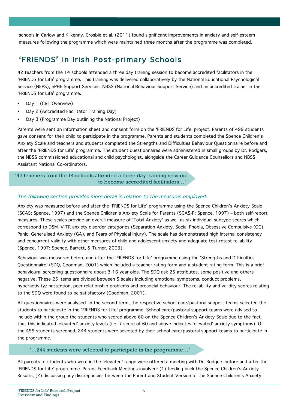schools in Carlow and Kilkenny. Crosbie et al. (2011) found significant improvements in anxiety and self-esteem measures following the programme which were maintained three months after the programme was completed.

## 'FRIENDS' in Irish Post-primary Schools

42 teachers from the 14 schools attended a three day training session to become accredited facilitators in the 'FRIENDS for Life' programme. This training was delivered collaboratively by the National Educational Psychological Service (NEPS), SPHE Support Services, NBSS (National Behaviour Support Service) and an accredited trainer in the 'FRIENDS for Life' programme.

- Day 1 (CBT Overview)
- Day 2 (Accredited Facilitator Training Day)
- Day 3 (Programme Day outlining the National Project)

Parents were sent an information sheet and consent form on the 'FRIENDS for Life' project. Parents of 499 students gave consent for their child to participate in the programme. Parents and students completed the Spence Children's Anxiety Scale and teachers and students completed the Strengths and Difficulties Behaviour Questionnaire before and after the 'FRIENDS for Life' programme. The student questionnaires were administered in small groups by Dr. Rodgers, the NBSS commissioned educational and child psychologist, alongside the Career Guidance Counsellors and NBSS Assistant National Co-ordinators.

#### '42 teachers from the 14 schools attended a three day training session to become accredited facilitators…'

#### The following section provides more detail in relation to the measures employed:

Anxiety was measured before and after the 'FRIENDS for Life' programme using the Spence Children's Anxiety Scale (SCAS; Spence, 1997) and the Spence Children's Anxiety Scale for Parents (SCAS-P; Spence, 1997) – both self-report measures. These scales provide an overall measure of 'Total Anxiety' as well as six individual subtype scores which correspond to DSM-IV-TR anxiety disorder categories (Separation Anxiety, Social Phobia, Obsessive Compulsive (OC), Panic, Generalised Anxiety (GA), and Fears of Physical Injury). The scale has demonstrated high internal consistency and concurrent validity with other measures of child and adolescent anxiety and adequate test-retest reliability (Spence, 1997; Spence, Barrett, & Turner, 2003).

Behaviour was measured before and after the 'FRIENDS for Life' programme using the 'Strengths and Difficulties Questionnaire' (SDQ, Goodman, 2001) which included a teacher rating form and a student rating form. This is a brief behavioural screening questionnaire about 3-16 year olds. The SDQ ask 25 attributes, some positive and others negative. These 25 items are divided between 5 scales including emotional symptoms, conduct problems, hyperactivity/inattention, peer relationship problems and prosocial behaviour. The reliability and validity scores relating to the SDQ were found to be satisfactory (Goodman, 2001).

All questionnaires were analysed. In the second term, the respective school care/pastoral support teams selected the students to participate in the 'FRIENDS for Life' programme. School care/pastoral support teams were advised to include within the group the students who scored above 60 on the Spence Children's Anxiety Scale due to the fact that this indicated 'elevated' anxiety levels (i.e. T-score of 60 and above indicates 'elevated' anxiety symptoms). Of the 499 students screened, 244 students were selected by their school care/pastoral support teams to participate in the programme.

#### '…244 students were selected to participate in the programme…'

All parents of students who were in the 'elevated' range were offered a meeting with Dr. Rodgers before and after the 'FRIENDS for Life' programme. Parent Feedback Meetings involved: (1) feeding back the Spence Children's Anxiety Results, (2) discussing any discrepancies between the Parent and Student Version of the Spence Children's Anxiety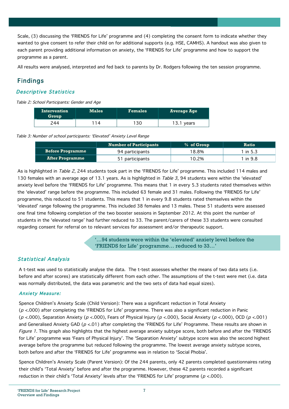Scale, (3) discussing the 'FRIENDS for Life' programme and (4) completing the consent form to indicate whether they wanted to give consent to refer their child on for additional supports (e.g. HSE, CAMHS). A handout was also given to each parent providing additional information on anxiety, the 'FRIENDS for Life' programme and how to support the programme as a parent.

All results were analysed, interpreted and fed back to parents by Dr. Rodgers following the ten session programme.

## Findings

#### Descriptive Statistics

Table 2: School Participants: Gender and Age

| Intervention<br>Group | <b>Males</b> | <b>Females</b> | Average Age |
|-----------------------|--------------|----------------|-------------|
| ?44                   | 1 <i>A</i>   | 1 2 0          | 13.1 years  |

Table 3: Number of school participants: 'Elevated' Anxiety Level Range

|                         | <b>Number of Participants</b> | % of Group | <b>Ratio</b> |
|-------------------------|-------------------------------|------------|--------------|
| <b>Before Programme</b> | 94 participants               | ' 8.8%     | l in 5.3     |
| <b>After Programme</b>  | 51 participants               | $0.2\%$    | l in 9.8     |

As is highlighted in Table 2, 244 students took part in the 'FRIENDS for Life' programme. This included 114 males and 130 females with an average age of 13.1 years. As is highlighted in Table 3, 94 students were within the 'elevated' anxiety level before the 'FRIENDS for Life' programme. This means that 1 in every 5.3 students rated themselves within the 'elevated' range before the programme. This included 63 female and 31 males. Following the 'FRIENDS for Life' programme, this reduced to 51 students. This means that 1 in every 9.8 students rated themselves within the 'elevated' range following the programme. This included 38 females and 13 males. These 51 students were assessed one final time following completion of the two booster sessions in September 2012. At this point the number of students in the 'elevated range' had further reduced to 33. The parent/carers of these 33 students were consulted regarding consent for referral on to relevant services for assessment and/or therapeutic support.

> '…94 students were within the 'elevated' anxiety level before the 'FRIENDS for Life' programme… reduced to 33…'

#### Statistical Analysis

A t-test was used to statistically analyse the data. The t-test assesses whether the means of two data sets (i.e. before and after scores) are statistically different from each other. The assumptions of the t-test were met (i.e. data was normally distributed, the data was parametric and the two sets of data had equal sizes).

#### Anxiety Measure:

Spence Children's Anxiety Scale (Child Version): There was a significant reduction in Total Anxiety  $(p < .000)$  after completing the 'FRIENDS for Life' programme. There was also a significant reduction in Panic ( $p$  <.000), Separation Anxiety ( $p$  <.000), Fears of Physical Injury ( $p$  <.000), Social Anxiety ( $p$  <.000), OCD ( $p$  <.001) and Generalised Anxiety GAD ( $p < 01$ ) after completing the 'FRIENDS for Life' Programme. These results are shown in Figure 1. This graph also highlights that the highest average anxiety subtype score, both before and after the 'FRIENDS for Life' programme was 'Fears of Physical Injury'. The 'Separation Anxiety' subtype score was also the second highest average before the programme but reduced following the programme. The lowest average anxiety subtype scores, both before and after the 'FRIENDS for Life' programme was in relation to 'Social Phobia'.

Spence Children's Anxiety Scale (Parent Version): Of the 244 parents, only 42 parents completed questionnaires rating their child's 'Total Anxiety' before and after the programme. However, these 42 parents recorded a significant reduction in their child's 'Total Anxiety' levels after the 'FRIENDS for Life' programme ( $p < 000$ ).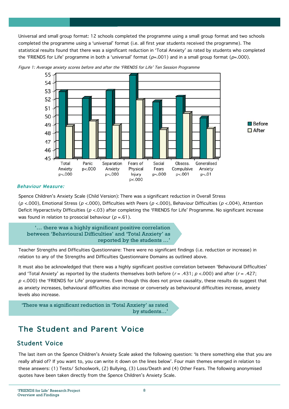Universal and small group format: 12 schools completed the programme using a small group format and two schools completed the programme using a 'universal' format (i.e. all first year students received the programme). The statistical results found that there was a significant reduction in 'Total Anxiety' as rated by students who completed the 'FRIENDS for Life' programme in both a 'universal' format ( $p=0.001$ ) and in a small group format ( $p=0.000$ ).



Figure 1: Average anxiety scores before and after the 'FRIENDS for Life' Ten Session Programme

#### Behaviour Measure:

Spence Children's Anxiety Scale (Child Version): There was a significant reduction in Overall Stress (p <.000), Emotional Stress (p <.000), Difficulties with Peers (p <.000), Behaviour Difficulties (p <.004), Attention Deficit Hyperactivity Difficulties ( $p < 03$ ) after completing the 'FRIENDS for Life' Programme. No significant increase was found in relation to prosocial behaviour ( $p = .61$ ).

'… there was a highly significant positive correlation between 'Behavioural Difficulties' and 'Total Anxiety' as reported by the students …'

Teacher Strengths and Difficulties Questionnaire: There were no significant findings (i.e. reduction or increase) in relation to any of the Strengths and Difficulties Questionnaire Domains as outlined above.

It must also be acknowledged that there was a highly significant positive correlation between 'Behavioural Difficulties' and 'Total Anxiety' as reported by the students themselves both before ( $r = .431$ ;  $p < .000$ ) and after ( $r = .427$ ;  $p$  <.000) the 'FRIENDS for Life' programme. Even though this does not prove causality, these results do suggest that as anxiety increases, behavioural difficulties also increase or conversely as behavioural difficulties increase, anxiety levels also increase.



## The Student and Parent Voice

## Student Voice

The last item on the Spence Children's Anxiety Scale asked the following question: 'Is there something else that you are really afraid of? If you want to, you can write it down on the lines below'. Four main themes emerged in relation to these answers: (1) Tests/ Schoolwork, (2) Bullying, (3) Loss/Death and (4) Other Fears. The following anonymised quotes have been taken directly from the Spence Children's Anxiety Scale.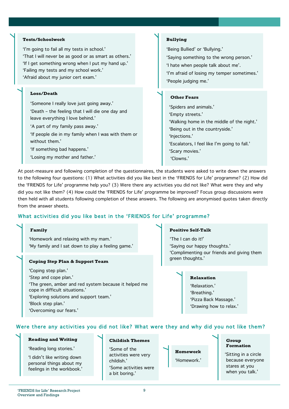#### **Tests/Schoolwork**

'I'm going to fail all my tests in school.' 'That I will never be as good or as smart as others.' 'If I get something wrong when I put my hand up.' 'Failing my tests and my school work.' 'Afraid about my junior cert exam.'

#### **Loss/Death**

'Someone I really love just going away.' 'Death – the feeling that I will die one day and

leave everything I love behind.'

'A part of my family pass away.'

'If people die in my family when I was with them or without them.'

'If something bad happens.'

'Losing my mother and father.'

#### **Bullying**

'Being Bullied' or 'Bullying.' 'Saying something to the wrong person.' 'I hate when people talk about me'. 'I'm afraid of losing my temper sometimes.' 'People judging me.'

#### **Other Fears**

 'Spiders and animals.' 'Empty streets.' 'Walking home in the middle of the night.' 'Being out in the countryside.' 'Injections.' 'Escalators, I feel like I'm going to fall.' 'Scary movies.' 'Clowns.'

At post-measure and following completion of the questionnaires, the students were asked to write down the answers to the following four questions: (1) What activities did you like best in the 'FRIENDS for Life' programme? (2) How did the 'FRIENDS for Life' programme help you? (3) Were there any activities you did not like? What were they and why did you not like them? (4) How could the 'FRIENDS for Life' programme be improved? Focus group discussions were then held with all students following completion of these answers. The following are anonymised quotes taken directly from the answer sheets.

#### What activities did you like best in the 'FRIENDS for Life' programme?

#### **Family**

 'Homework and relaxing with my mam.' 'My family and I sat down to play a feeling game.'

#### **Coping Step Plan & Support Team**

'Coping step plan.'

'Step and cope plan.'

'The green, amber and red system because it helped me

cope in difficult situations.'

'Exploring solutions and support team.'

'Block step plan.'

'Overcoming our fears.'

#### **Positive Self-Talk**

 'The I can do it!' 'Saying our happy thoughts.' 'Complimenting our friends and giving them green thoughts.'

#### **Relaxation**

'Relaxation.' 'Breathing.' 'Pizza Back Massage.' 'Drawing how to relax.'

#### Were there any activities you did not like? What were they and why did you not like them?

#### **Reading and Writing**

'Reading long stories.'

'I didn't like writing down personal things about my feelings in the workbook.'

#### **Childish Themes**

'Some of the activities were very childish.' 'Some activities were a bit boring.'

**Homework**  'Homework.'

#### **Group Formation**

 'Sitting in a circle because everyone stares at you when you talk.'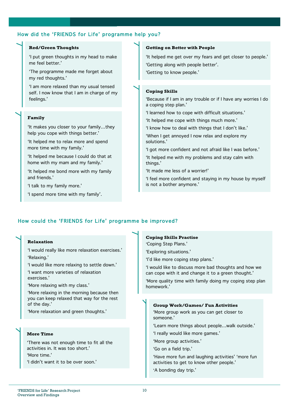#### How did the 'FRIENDS for Life' programme help you?

#### **Red/Green Thoughts**

'I put green thoughts in my head to make me feel better.'

'The programme made me forget about my red thoughts.'

'I am more relaxed than my usual tensed self. I now know that I am in charge of my feelings.'

#### **Family**

'It makes you closer to your family…they help you cope with things better.'

'It helped me to relax more and spend more time with my family.'

'It helped me because I could do that at home with my mam and my family.'

'It helped me bond more with my family and friends.'

'I talk to my family more.'

'I spend more time with my family'.

#### **Getting on Better with People**

'It helped me get over my fears and get closer to people.' 'Getting along with people better'. 'Getting to know people.'

#### **Coping Skills**

'Because if I am in any trouble or if I have any worries I do a coping step plan.'

'I learned how to cope with difficult situations.'

'It helped me cope with things much more.'

'I know how to deal with things that I don't like.'

'When I get annoyed I now relax and explore my solutions.'

'I got more confident and not afraid like I was before.'

'It helped me with my problems and stay calm with things.'

'It made me less of a worrier!'

'I feel more confident and staying in my house by myself is not a bother anymore.'

#### How could the 'FRIENDS for Life' programme be improved?

#### **Relaxation**

'I would really like more relaxation exercises.' 'Relaxing.'

'I would like more relaxing to settle down.' 'I want more varieties of relaxation exercises.'

'More relaxing with my class.'

'More relaxing in the morning because then you can keep relaxed that way for the rest of the day.'

'More relaxation and green thoughts.'

#### **More Time**

'There was not enough time to fit all the activities in. It was too short.' 'More time.' 'I didn't want it to be over soon.'

**Coping Skills Practise**

'Coping Step Plans.'

'Exploring situations.'

'I'd like more coping step plans.'

'I would like to discuss more bad thoughts and how we can cope with it and change it to a green thought.'

'More quality time with family doing my coping step plan homework.'

#### **Group Work/Games/ Fun Activities**

'More group work as you can get closer to someone.'

'Learn more things about people…walk outside.'

'I really would like more games.'

'More group activities.'

'Go on a field trip.'

'Have more fun and laughing activities' 'more fun activities to get to know other people.'

'A bonding day trip.'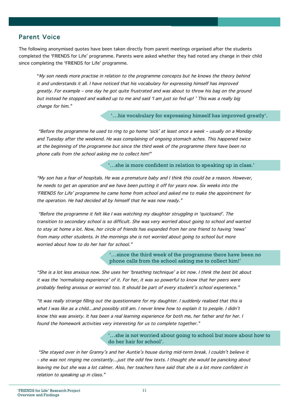### Parent Voice

The following anonymised quotes have been taken directly from parent meetings organised after the students completed the 'FRIENDS for Life' programme. Parents were asked whether they had noted any change in their child since completing the 'FRIENDS for Life' programme.

"My son needs more practise in relation to the programme concepts but he knows the theory behind it and understands it all. I have noticed that his vocabulary for expressing himself has improved greatly. For example – one day he got quite frustrated and was about to throw his bag on the ground but instead he stopped and walked up to me and said 'I am just so fed up! ' This was a really big change for him."

'…his vocabulary for expressing himself has improved greatly'.

 "Before the programme he used to ring to go home 'sick' at least once a week – usually on a Monday and Tuesday after the weekend. He was complaining of ongoing stomach aches. This happened twice at the beginning of the programme but since the third week of the programme there have been no phone calls from the school asking me to collect him!"

'…she is more confident in relation to speaking up in class.'

"My son has a fear of hospitals. He was a premature baby and I think this could be a reason. However, he needs to get an operation and we have been putting it off for years now. Six weeks into the 'FRIENDS for Life' programme he came home from school and asked me to make the appointment for the operation. He had decided all by himself that he was now ready."

 "Before the programme it felt like I was watching my daughter struggling in 'quicksand'. The transition to secondary school is so difficult. She was very worried about going to school and wanted to stay at home a lot. Now, her circle of friends has expanded from her one friend to having 'news' from many other students. In the mornings she is not worried about going to school but more worried about how to do her hair for school."

> '…since the third week of the programme there have been no phone calls from the school asking me to collect him!'

"She is a lot less anxious now. She uses her 'breathing technique' a lot now. I think the best bit about it was the 'normalising experience' of it. For her, it was so powerful to know that her peers were probably feeling anxious or worried too. It should be part of every student's school experience."

"It was really strange filling out the questionnaire for my daughter. I suddenly realised that this is what I was like as a child…and possibly still am. I never knew how to explain it to people. I didn't know this was anxiety. It has been a real learning experience for both me, her father and for her. I found the homework activities very interesting for us to complete together."

> '…she is not worried about going to school but more about how to do her hair for school'.

 "She stayed over in her Granny's and her Auntie's house during mid-term break. I couldn't believe it – she was not ringing me constantly…just the odd few texts. I thought she would be panicking about leaving me but she was a lot calmer. Also, her teachers have said that she is a lot more confident in relation to speaking up in class."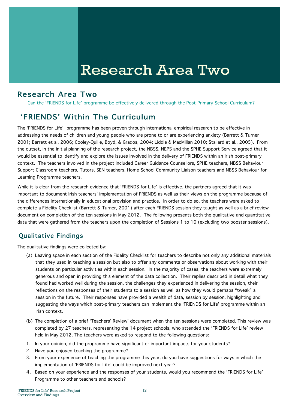## Research Area Two

## Research Area Two

Can the 'FRIENDS for Life' programme be effectively delivered through the Post-Primary School Curriculum?

## 'FRIENDS' Within The Curriculum

The 'FRIENDS for Life' programme has been proven through international empirical research to be effective in addressing the needs of children and young people who are prone to or are experiencing anxiety (Barrett & Turner 2001; Barrett et al. 2006; Cooley-Quille, Boyd, & Grados, 2004; Liddle & MacMillan 2010; Stallard et al., 2005). From the outset, in the initial planning of the research project, the NBSS, NEPS and the SPHE Support Service agreed that it would be essential to identify and explore the issues involved in the delivery of FRIENDS within an Irish post-primary context. The teachers involved in the project included Career Guidance Counsellors, SPHE teachers, NBSS Behaviour Support Classroom teachers, Tutors, SEN teachers, Home School Community Liaison teachers and NBSS Behaviour for Learning Programme teachers.

While it is clear from the research evidence that 'FRIENDS for Life' is effective, the partners agreed that it was important to document Irish teachers' implementation of FRIENDS as well as their views on the programme because of the differences internationally in educational provision and practice. In order to do so, the teachers were asked to complete a Fidelity Checklist (Barrett & Turner, 2001) after each FRIENDS session they taught as well as a brief review document on completion of the ten sessions in May 2012. The following presents both the qualitative and quantitative data that were gathered from the teachers upon the completion of Sessions 1 to 10 (excluding two booster sessions).

## Qualitative Findings

The qualitative findings were collected by:

- (a) Leaving space in each section of the Fidelity Checklist for teachers to describe not only any additional materials that they used in teaching a session but also to offer any comments or observations about working with their students on particular activities within each session. In the majority of cases, the teachers were extremely generous and open in providing this element of the data collection. Their replies described in detail what they found had worked well during the session, the challenges they experienced in delivering the session, their reflections on the responses of their students to a session as well as how they would perhaps "tweak" a session in the future. Their responses have provided a wealth of data, session by session, highlighting and suggesting the ways which post-primary teachers can implement the 'FRIENDS for Life' programme within an Irish context.
- (b) The completion of a brief 'Teachers' Review' document when the ten sessions were completed. This review was completed by 27 teachers, representing the 14 project schools, who attended the 'FRIENDS for Life' review held in May 2012. The teachers were asked to respond to the following questions:
- 1. In your opinion, did the programme have significant or important impacts for your students?
- 2. Have you enjoyed teaching the programme?
- 3. From your experience of teaching the programme this year, do you have suggestions for ways in which the implementation of 'FRIENDS for Life' could be improved next year?
- 4. Based on your experience and the responses of your students, would you recommend the 'FRIENDS for Life' Programme to other teachers and schools?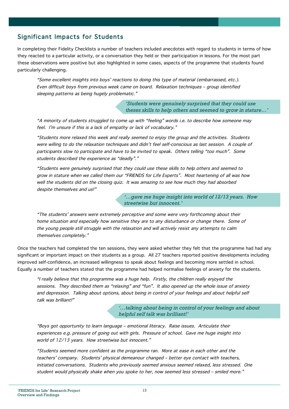### Significant Impacts for Students

In completing their Fidelity Checklists a number of teachers included anecdotes with regard to students in terms of how they reacted to a particular activity, or a conversation they held or their participation in lessons. For the most part these observations were positive but also highlighted in some cases, aspects of the programme that students found particularly challenging.

"Some excellent insights into boys' reactions to doing this type of material (embarrassed, etc.). Even difficult boys from previous week came on board. Relaxation techniques – group identified sleeping patterns as being hugely problematic."

> *'Students were genuinely surprised that they could use theses skills to help others and seemed to grow in stature…'*

"A minority of students struggled to come up with "feeling" words i.e. to describe how someone may feel. I'm unsure if this is a lack of empathy or lack of vocabulary."

"Students more relaxed this week and really seemed to enjoy the group and the activities. Students were willing to do the relaxation techniques and didn't feel self-conscious as last session. A couple of participants slow to participate and have to be invited to speak. Others telling "too much". Some students described the experience as "deadly"."

"Students were genuinely surprised that they could use these skills to help others and seemed to grow in stature when we called them our "FRIENDS for Life Experts". Most heartening of all was how well the students did on the closing quiz. It was amazing to see how much they had absorbed despite themselves and us!"

> *'…gave me huge insight into world of 12/13 years. How streetwise but innocent.'*

"The students' answers were extremely perceptive and some were very forthcoming about their home situation and especially how sensitive they are to any disturbance or change there. Some of the young people still struggle with the relaxation and will actively resist any attempts to calm themselves completely."

Once the teachers had completed the ten sessions, they were asked whether they felt that the programme had had any significant or important impact on their students as a group. All 27 teachers reported positive developments including improved self-confidence, an increased willingness to speak about feelings and becoming more settled in school. Equally a number of teachers stated that the programme had helped normalise feelings of anxiety for the students.

"I really believe that this programme was a huge help. Firstly, the children really enjoyed the sessions. They described them as "relaxing" and "fun". It also opened up the whole issue of anxiety and depression. Talking about options, about being in control of your feelings and about helpful self talk was brilliant!"

> *'…talking about being in control of your feelings and about helpful self talk was brilliant!'*

"Boys got opportunity to learn language – emotional literacy. Raise issues. Articulate their experiences e.g. pressure of going out with girls. Pressure of school. Gave me huge insight into world of 12/13 years. How streetwise but innocent."

"Students seemed more confident as the programme ran. More at ease in each other and the teachers' company. Students' physical demeanour changed – better eye contact with teachers, initiated conversations. Students who previously seemed anxious seemed relaxed, less stressed. One student would physically shake when you spoke to her, now seemed less stressed – smiled more."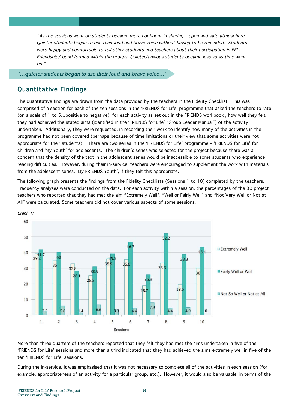"As the sessions went on students became more confident in sharing – open and safe atmosphere. Quieter students began to use their loud and brave voice without having to be reminded. Students were happy and comfortable to tell other students and teachers about their participation in FFL. Friendship/ bond formed within the groups. Quieter/anxious students became less so as time went on."

*'…quieter students began to use their loud and brave voice…'*

## Quantitative Findings

The quantitative findings are drawn from the data provided by the teachers in the Fidelity Checklist. This was comprised of a section for each of the ten sessions in the 'FRIENDS for Life' programme that asked the teachers to rate (on a scale of 1 to 5…positive to negative), for each activity as set out in the FRIENDS workbook , how well they felt they had achieved the stated aims (identified in the 'FRIENDS for Life' "Group Leader Manual") of the activity undertaken. Additionally, they were requested, in recording their work to identify how many of the activities in the programme had not been covered (perhaps because of time limitations or their view that some activities were not appropriate for their students). There are two series in the 'FRIENDS for Life' programme – 'FRIENDS for Life' for children and 'My Youth' for adolescents. The children's series was selected for the project because there was a concern that the density of the text in the adolescent series would be inaccessible to some students who experience reading difficulties. However, during their in-service, teachers were encouraged to supplement the work with materials from the adolescent series, 'My FRIENDS Youth', if they felt this appropriate.

The following graph presents the findings from the Fidelity Checklists (Sessions 1 to 10) completed by the teachers. Frequency analyses were conducted on the data. For each activity within a session, the percentages of the 30 project teachers who reported that they had met the aim "Extremely Well", "Well or Fairly Well" and "Not Very Well or Not at All" were calculated. Some teachers did not cover various aspects of some sessions.



Graph 1:

More than three quarters of the teachers reported that they felt they had met the aims undertaken in five of the 'FRIENDS for Life' sessions and more than a third indicated that they had achieved the aims extremely well in five of the ten 'FRIENDS for Life' sessions.

During the in-service, it was emphasised that it was not necessary to complete all of the activities in each session (for example, appropriateness of an activity for a particular group, etc.). However, it would also be valuable, in terms of the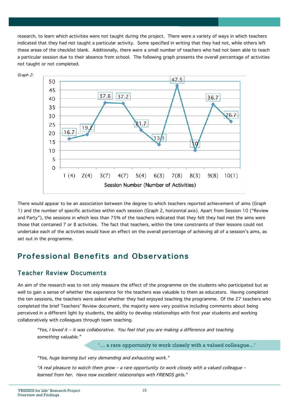research, to learn which activities were not taught during the project. There were a variety of ways in which teachers indicated that they had not taught a particular activity. Some specified in writing that they had not, while others left these areas of the checklist blank. Additionally, there were a small number of teachers who had not been able to teach a particular session due to their absence from school. The following graph presents the overall percentage of activities not taught or not completed.



There would appear to be an association between the degree to which teachers reported achievement of aims (Graph 1) and the number of specific activities within each session (Graph 2, horizontal axis). Apart from Session 10 ("Review and Party"), the sessions in which less than 75% of the teachers indicated that they felt they had met the aims were those that contained 7 or 8 activities. The fact that teachers, within the time constraints of their lessons could not undertake each of the activities would have an effect on the overall percentage of achieving all of a session's aims, as set out in the programme.

## Professional Benefits and Observations

## Teacher Review Documents

An aim of the research was to not only measure the effect of the programme on the students who participated but as well to gain a sense of whether the experience for the teachers was valuable to them as educators. Having completed the ten sessions, the teachers were asked whether they had enjoyed teaching the programme. Of the 27 teachers who completed the brief Teachers' Review document, the majority were very positive including comments about being perceived in a different light by students, the ability to develop relationships with first year students and working collaboratively with colleagues through team teaching.

"Yes, I loved it – it was collaborative. You feel that you are making a difference and teaching something valuable."

'… a rare opportunity to work closely with a valued colleague...'

"Yes, huge learning but very demanding and exhausting work."

"A real pleasure to watch them grow – a rare opportunity to work closely with a valued colleague – learned from her. Have now excellent relationships with FRIENDS girls."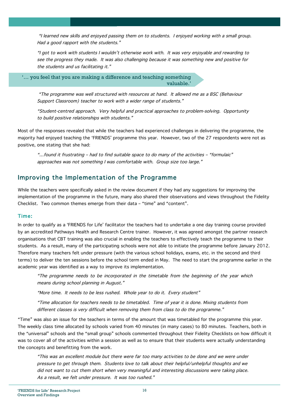"I learned new skills and enjoyed passing them on to students. I enjoyed working with a small group. Had a good rapport with the students."

"I got to work with students I wouldn't otherwise work with. It was very enjoyable and rewarding to see the progress they made. It was also challenging because it was something new and positive for the students and us facilitating it."

'… you feel that you are making a difference and teaching something valuable.'

 "The programme was well structured with resources at hand. It allowed me as a BSC (Behaviour Support Classroom) teacher to work with a wider range of students."

"Student-centred approach. Very helpful and practical approaches to problem-solving. Opportunity to build positive relationships with students."

Most of the responses revealed that while the teachers had experienced challenges in delivering the programme, the majority had enjoyed teaching the 'FRIENDS' programme this year. However, two of the 27 respondents were not as positive, one stating that she had:

"…found it frustrating – had to find suitable space to do many of the activities – "formulaic" approaches was not something I was comfortable with. Group size too large."

### Improving the Implementation of the Programme

While the teachers were specifically asked in the review document if they had any suggestions for improving the implementation of the programme in the future, many also shared their observations and views throughout the Fidelity Checklist. Two common themes emerge from their data – "time" and "content".

#### Time:

In order to qualify as a 'FRIENDS for Life' facilitator the teachers had to undertake a one day training course provided by an accredited Pathways Health and Research Centre trainer. However, it was agreed amongst the partner research organisations that CBT training was also crucial in enabling the teachers to effectively teach the programme to their students. As a result, many of the participating schools were not able to initiate the programme before January 2012. Therefore many teachers felt under pressure (with the various school holidays, exams, etc. in the second and third terms) to deliver the ten sessions before the school term ended in May. The need to start the programme earlier in the academic year was identified as a way to improve its implementation.

"The programme needs to be incorporated in the timetable from the beginning of the year which means during school planning in August."

"More time. It needs to be less rushed. Whole year to do it. Every student"

"Time allocation for teachers needs to be timetabled. Time of year it is done. Mixing students from different classes is very difficult when removing them from class to do the programme."

"Time" was also an issue for the teachers in terms of the amount that was timetabled for the programme this year. The weekly class time allocated by schools varied from 40 minutes (in many cases) to 80 minutes. Teachers, both in the "universal" schools and the "small group" schools commented throughout their Fidelity Checklists on how difficult it was to cover all of the activities within a session as well as to ensure that their students were actually understanding the concepts and benefitting from the work.

"This was an excellent module but there were far too many activities to be done and we were under pressure to get through them. Students love to talk about their helpful/unhelpful thoughts and we did not want to cut them short when very meaningful and interesting discussions were taking place. As a result, we felt under pressure. It was too rushed."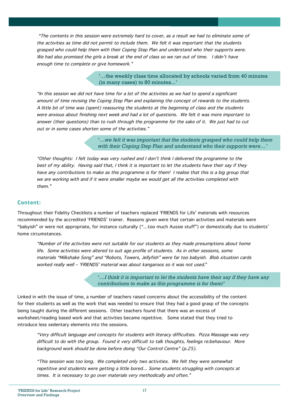"The contents in this session were extremely hard to cover, as a result we had to eliminate some of the activities as time did not permit to include them. We felt it was important that the students grasped who could help them with their Coping Step Plan and understand who their supports were. We had also promised the girls a break at the end of class so we ran out of time. I didn't have enough time to complete or give homework."

> '…the weekly class time allocated by schools varied from 40 minutes (in many cases) to 80 minutes...'

"In this session we did not have time for a lot of the activities as we had to spend a significant amount of time revising the Coping Step Plan and explaining the concept of rewards to the students. A little bit of time was (spent) reassuring the students at the beginning of class and the students were anxious about finishing next week and had a lot of questions. We felt it was more important to answer (their questions) than to rush through the programme for the sake of it. We just had to cut out or in some cases shorten some of the activities."

> '…*we felt it was important that the students grasped who could help them with their Coping Step Plan and understand who their supports were…'*

"Other thoughts: I felt today was very rushed and I don't think I delivered the programme to the best of my ability. Having said that, I think it is important to let the students have their say if they have any contributions to make as this programme is for them! I realise that this is a big group that we are working with and if it were smaller maybe we would get all the activities completed with them."

#### Content:

Throughout their Fidelity Checklists a number of teachers replaced 'FRIENDS for Life' materials with resources recommended by the accredited 'FRIENDS' trainer. Reasons given were that certain activities and materials were "babyish" or were not appropriate, for instance culturally ("…too much Aussie stuff") or domestically due to students' home circumstances.

"Number of the activities were not suitable for our students as they made presumptions about home life. Some activities were altered to suit age profile of students. As in other sessions, some materials "Milkshake Song" and "Robots, Towers, Jellyfish" were far too babyish. Blob situation cards worked really well – 'FRIENDS' material was about kangaroos so it was not used."

> '…*I think it is important to let the students have their say if they have any contributions to make as this programme is for them!'*

Linked in with the issue of time, a number of teachers raised concerns about the accessibility of the content for their students as well as the work that was needed to ensure that they had a good grasp of the concepts being taught during the different sessions. Other teachers found that there was an excess of worksheet/reading based work and that activities became repetitive. Some stated that they tried to introduce less sedentary elements into the sessions.

"Very difficult language and concepts for students with literacy difficulties. Pizza Massage was very difficult to do with the group. Found it very difficult to talk thoughts, feelings re:behaviour. More background work should be done before doing "Our Control Centre" (p.25).

"This session was too long. We completed only two activities. We felt they were somewhat repetitive and students were getting a little bored… Some students struggling with concepts at times. It is necessary to go over materials very methodically and often."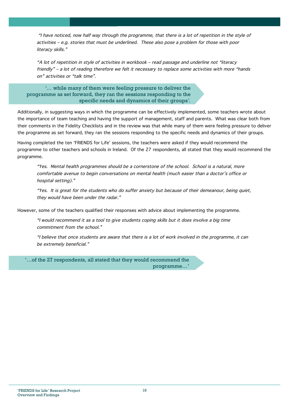"I have noticed, now half way through the programme, that there is a lot of repetition in the style of activities – e.g. stories that must be underlined. These also pose a problem for those with poor literacy skills."

"A lot of repetition in style of activities in workbook – read passage and underline not "literacy friendly" – a lot of reading therefore we felt it necessary to replace some activities with more "hands on" activities or "talk time".

*'…* while many of them were feeling pressure to deliver the programme as set forward, they ran the sessions responding to the specific needs and dynamics of their groups*'.*

Additionally, in suggesting ways in which the programme can be effectively implemented, some teachers wrote about the importance of team teaching and having the support of management, staff and parents. What was clear both from their comments in the Fidelity Checklists and in the review was that while many of them were feeling pressure to deliver the programme as set forward, they ran the sessions responding to the specific needs and dynamics of their groups.

Having completed the ten 'FRIENDS for Life' sessions, the teachers were asked if they would recommend the programme to other teachers and schools in Ireland. Of the 27 respondents, all stated that they would recommend the programme.

"Yes. Mental health programmes should be a cornerstone of the school. School is a natural, more comfortable avenue to begin conversations on mental health (much easier than a doctor's office or hospital setting)."

"Yes. It is great for the students who do suffer anxiety but because of their demeanour, being quiet, they would have been under the radar."

However, some of the teachers qualified their responses with advice about implementing the programme.

"I would recommend it as a tool to give students coping skills but it does involve a big time commitment from the school."

"I believe that once students are aware that there is a lot of work involved in the programme, it can be extremely beneficial."

'…of the 27 respondents, all stated that they would recommend the programme…'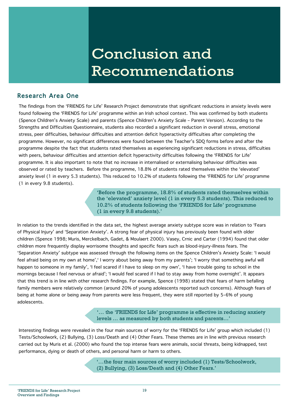## Conclusion and Recommendations

## Research Area One

The findings from the 'FRIENDS for Life' Research Project demonstrate that significant reductions in anxiety levels were found following the 'FRIENDS for Life' programme within an Irish school context. This was confirmed by both students (Spence Children's Anxiety Scale) and parents (Spence Children's Anxiety Scale – Parent Version). According to the Strengths and Difficulties Questionnaire, students also recorded a significant reduction in overall stress, emotional stress, peer difficulties, behaviour difficulties and attention deficit hyperactivity difficulties after completing the programme. However, no significant differences were found between the Teacher's SDQ forms before and after the programme despite the fact that students rated themselves as experiencing significant reductions in stress, difficulties with peers, behaviour difficulties and attention deficit hyperactivity difficulties following the 'FRIENDS for Life' programme. It is also important to note that no increase in internalised or externalising behaviour difficulties was observed or rated by teachers. Before the programme, 18.8% of students rated themselves within the 'elevated' anxiety level (1 in every 5.3 students). This reduced to 10.2% of students following the 'FRIENDS for Life' programme (1 in every 9.8 students).

> 'Before the programme, 18.8% of students rated themselves within the 'elevated' anxiety level (1 in every 5.3 students). This reduced to 10.2% of students following the 'FRIENDS for Life' programme (1 in every 9.8 students).'

In relation to the trends identified in the data set, the highest average anxiety subtype score was in relation to 'Fears of Physical Injury' and 'Separation Anxiety'. A strong fear of physical injury has previously been found with older children (Spence 1998; Muris, Merckelbach, Gadet, & Moulaert 2000). Vasey, Crnic and Carter (1994) found that older children more frequently display worrisome thoughts and specific fears such as blood-injury-illness fears. The 'Separation Anxiety' subtype was assessed through the following items on the Spence Children's Anxiety Scale: 'I would feel afraid being on my own at home',' I worry about being away from my parents'; 'I worry that something awful will happen to someone in my family', 'I feel scared if I have to sleep on my own', 'I have trouble going to school in the mornings because I feel nervous or afraid'; 'I would feel scared if I had to stay away from home overnight'. It appears that this trend is in line with other research findings. For example, Spence (1998) stated that fears of harm befalling family members were relatively common (around 20% of young adolescents reported such concerns). Although fears of being at home alone or being away from parents were less frequent, they were still reported by 5–6% of young adolescents.

> '… the 'FRIENDS for Life' programme is effective in reducing anxiety levels … as measured by both students and parents…'

Interesting findings were revealed in the four main sources of worry for the 'FRIENDS for Life' group which included (1) Tests/Schoolwork, (2) Bullying, (3) Loss/Death and (4) Other Fears. These themes are in line with previous research carried out by Muris et al. (2000) who found the top intense fears were animals, social threats, being kidnapped, test performance, dying or death of others, and personal harm or harm to others.

> '…the four main sources of worry included (1) Tests/Schoolwork, (2) Bullying, (3) Loss/Death and (4) Other Fears.'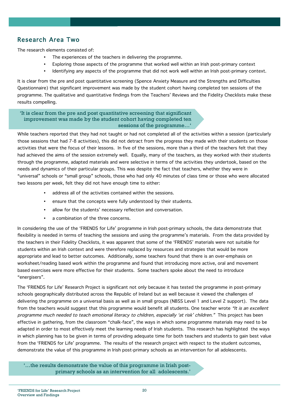## Research Area Two

The research elements consisted of:

- The experiences of the teachers in delivering the programme.
- Exploring those aspects of the programme that worked well within an Irish post-primary context
- Identifying any aspects of the programme that did not work well within an Irish post-primary context.

It is clear from the pre and post quantitative screening (Spence Anxiety Measure and the Strengths and Difficulties Questionnaire) that significant improvement was made by the student cohort having completed ten sessions of the programme. The qualitative and quantitative findings from the Teachers' Reviews and the Fidelity Checklists make these results compelling.

'It is clear from the pre and post quantitative screening that significant improvement was made by the student cohort having completed ten sessions of the programme…'

While teachers reported that they had not taught or had not completed all of the activities within a session (particularly those sessions that had 7-8 activities), this did not detract from the progress they made with their students on those activities that were the focus of their lessons. In five of the sessions, more than a third of the teachers felt that they had achieved the aims of the session extremely well. Equally, many of the teachers, as they worked with their students through the programme, adapted materials and were selective in terms of the activities they undertook, based on the needs and dynamics of their particular groups. This was despite the fact that teachers, whether they were in "universal" schools or "small group" schools, those who had only 40 minutes of class time or those who were allocated two lessons per week, felt they did not have enough time to either:

- address all of the activities contained within the sessions.
- ensure that the concepts were fully understood by their students.
- allow for the students' necessary reflection and conversation.
- a combination of the three concerns.

In considering the use of the 'FRIENDS for Life' programme in Irish post-primary schools, the data demonstrate that flexibility is needed in terms of teaching the sessions and using the programme's materials. From the data provided by the teachers in their Fidelity Checklists, it was apparent that some of the 'FRIENDS' materials were not suitable for students within an Irish context and were therefore replaced by resources and strategies that would be more appropriate and lead to better outcomes. Additionally, some teachers found that there is an over-emphasis on worksheet/reading based work within the programme and found that introducing more active, oral and movement based exercises were more effective for their students. Some teachers spoke about the need to introduce "energisers".

The 'FRIENDS for Life' Research Project is significant not only because it has tested the programme in post-primary schools geographically distributed across the Republic of Ireland but as well because it viewed the challenges of delivering the programme on a universal basis as well as in small groups (NBSS Level 1 and Level 2 support). The data from the teachers would suggest that this programme would benefit all students. One teacher wrote "It is an excellent programme much needed to teach emotional literacy to children, especially 'at risk' children." This project has been effective in gathering, from the classroom "chalk-face", the ways in which some programme materials may need to be adapted in order to most effectively meet the learning needs of Irish students. This research has highlighted the ways in which planning has to be given in terms of providing adequate time for both teachers and students to gain best value from the 'FRIENDS for Life' programme. The results of the research project with respect to the student outcomes, demonstrate the value of this programme in Irish post-primary schools as an intervention for all adolescents.

'…the results demonstrate the value of this programme in Irish postprimary schools as an intervention for all adolescents.'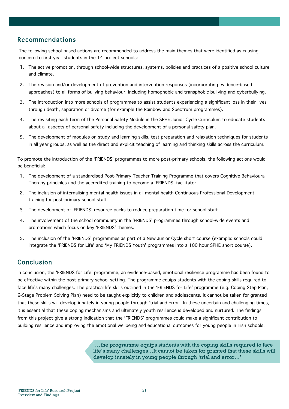### Recommendations

The following school-based actions are recommended to address the main themes that were identified as causing concern to first year students in the 14 project schools:

- 1. The active promotion, through school-wide structures, systems, policies and practices of a positive school culture and climate.
- 2. The revision and/or development of prevention and intervention responses (incorporating evidence-based approaches) to all forms of bullying behaviour, including homophobic and transphobic bullying and cyberbullying.
- 3. The introduction into more schools of programmes to assist students experiencing a significant loss in their lives through death, separation or divorce (for example the Rainbow and Spectrum programmes).
- 4. The revisiting each term of the Personal Safety Module in the SPHE Junior Cycle Curriculum to educate students about all aspects of personal safety including the development of a personal safety plan.
- 5. The development of modules on study and learning skills, test preparation and relaxation techniques for students in all year groups, as well as the direct and explicit teaching of learning and thinking skills across the curriculum.

To promote the introduction of the 'FRIENDS' programmes to more post-primary schools, the following actions would be beneficial:

- 1. The development of a standardised Post-Primary Teacher Training Programme that covers Cognitive Behavioural Therapy principles and the accredited training to become a 'FRIENDS' facilitator.
- 2. The inclusion of internalising mental health issues in all mental health Continuous Professional Development training for post-primary school staff.
- 3. The development of 'FRIENDS' resource packs to reduce preparation time for school staff.
- 4. The involvement of the school community in the 'FRIENDS' programmes through school-wide events and promotions which focus on key 'FRIENDS' themes.
- 5. The inclusion of the 'FRIENDS' programmes as part of a New Junior Cycle short course (example: schools could integrate the 'FRIENDS for Life' and 'My FRIENDS Youth' programmes into a 100 hour SPHE short course).

## Conclusion

In conclusion, the 'FRIENDS for Life' programme, an evidence-based, emotional resilience programme has been found to be effective within the post-primary school setting. The programme equips students with the coping skills required to face life's many challenges. The practical life skills outlined in the 'FRIENDS for Life' programme (e.g. Coping Step Plan, 6-Stage Problem Solving Plan) need to be taught explicitly to children and adolescents. It cannot be taken for granted that these skills will develop innately in young people through 'trial and error.' In these uncertain and challenging times, it is essential that these coping mechanisms and ultimately youth resilience is developed and nurtured. The findings from this project give a strong indication that the 'FRIENDS' programmes could make a significant contribution to building resilience and improving the emotional wellbeing and educational outcomes for young people in Irish schools.

> '…the programme equips students with the coping skills required to face life's many challenges…It cannot be taken for granted that these skills will develop innately in young people through 'trial and error…'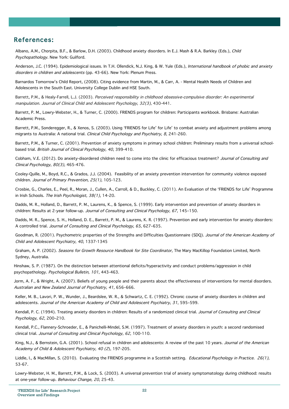### References:

Albano, A.M., Chorpita, B.F., & Barlow, D.H. (2003). Childhood anxiety disorders. In E.J. Mash & R.A. Barkley (Eds.), Child Psychopathology. New York: Guilford.

Anderson, J.C. (1994). Epidemiological issues. In T.H. Ollendick, N.J. King, & W. Yule (Eds.), International handbook of phobic and anxiety disorders in children and adolescents (pp. 43-66). New York: Plenum Press.

Barnardos Tomorrow's Child Report, (2008). Citing evidence from Martin, M., & Carr, A. - Mental Health Needs of Children and Adolescents in the South East. University College Dublin and HSE South.

Barrett, P.M., & Healy-Farrell, L.J. (2003). Perceived responsibility in childhood obsessive-compulsive disorder: An experimental manipulation. Journal of Clinical Child and Adolescent Psychology, 32(3), 430-441.

Barrett, P. M., Lowry-Webster, H., & Turner, C. (2000). FRIENDS program for children: Participants workbook. Brisbane: Australian Academic Press.

Barrett, P.M., Sonderegger, R., & Xenos, S. (2003). Using 'FRIENDS for Life' for Life' to combat anxiety and adjustment problems among migrants to Australia: A national trial. Clinical Child Psychology and Psychiatry, 8, 241-260.

Barrett, P.M., & Turner, C. (2001). Prevention of anxiety symptoms in primary school children: Preliminary results from a universal schoolbased trial. British Journal of Clinical Psychology, 40, 399-410.

Cobham, V.E. (2012). Do anxiety-disordered children need to come into the clinic for efficacious treatment? Journal of Consulting and Clinical Psychology, 80(3), 465-476.

Cooley-Quille, M., Boyd, R.C., & Grados, J.J. (2004). Feasibility of an anxiety prevention intervention for community violence exposed children. Journal of Primary Prevention, 25(1), 105-123.

Crosbie, G., Charles, E., Peel, R., Moran, J., Cullen, A., Carroll, & D., Buckley, C. (2011). An Evaluation of the 'FRIENDS for Life' Programme in Irish Schools. The Irish Psychologist, 38(1), 14-20.

Dadds, M. R., Holland, D., Barrett, P. M., Laurens, K., & Spence, S. (1999). Early intervention and prevention of anxiety disorders in children: Results at 2-year follow-up. Journal of Consulting and Clinical Psychology, 67, 145–150.

Dadds, M. R., Spence, S. H., Holland, D. E., Barrett, P. M., & Laurens, K. R. (1997). Prevention and early intervention for anxiety disorders: A controlled trial. Journal of Consulting and Clinical Psychology, 65, 627–635.

Goodman, R. (2001). Psychometric properties of the Strengths and Difficulties Questionnaire (SDQ). Journal of the American Academy of Child and Adolescent Psychiatry, 40, 1337-1345

Graham, A. P. (2002). Seasons for Growth Resource Handbook for Site Coordinator, The Mary MacKillop Foundation Limited, North Sydney, Australia.

Hinshaw, S. P. (1987). On the distinction between attentional deficits/hyperactivity and conduct problems/aggression in child psychopathology. Psychological Bulletin, 101, 443-463.

Jorm, A. F., & Wright, A. (2007). Beliefs of young people and their parents about the effectiveness of interventions for mental disorders. Australian and New Zealand Journal of Psychiatry, 41, 656–666.

Keller, M. B., Lavori, P. W., Wunder, J., Beardslee, W. R., & Schwartz, C. E. (1992). Chronic course of anxiety disorders in children and adolescents. Journal of the American Academy of Child and Adolescent Psychiatry, 31, 595–599.

Kendall, P. C. (1994). Treating anxiety disorders in children: Results of a randomized clinical trial. Journal of Consulting and Clinical Psychology, 62, 200–210.

Kendall, P.C., Flannery-Schroeder, E., & Panichelli-Mindel, S.M. (1997). Treatment of anxiety disorders in youth: a second randomised clinical trial. Journal of Consulting and Clinical Psychology, 62, 100-110.

King, N.J., & Bernstein, G.A. (2001). School refusal in children and adolescents: A review of the past 10 years. Journal of the American Academy of Child & Adolescent Psychiatry, 40 (2), 197-205.

Liddle, I., & MacMillan, S. (2010). Evaluating the FRIENDS programme in a Scottish setting. Educational Psychology in Practice. 26(1), 53-67.

Lowry-Webster, H. M., Barrett, P.M., & Lock, S. (2003). A universal prevention trial of anxiety symptomatology during childhood: results at one-year follow-up. Behaviour Change, 20, 25-43.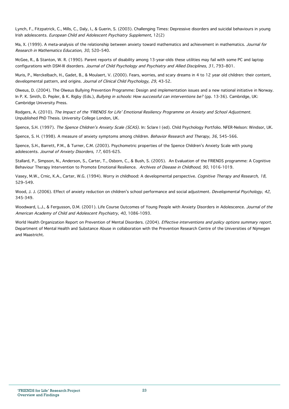Lynch, F., Fitzpatrick, C., Mills, C., Daly, I., & Guerin, S. (2003). Challenging Times: Depressive disorders and suicidal behaviours in young Irish adolescents. European Child and Adolescent Psychiatry Supplement, 12(2)

Ma, X. (1999). A meta-analysis of the relationship between anxiety toward mathematics and achievement in mathematics. Journal for Research in Mathematics Education, 30, 520–540.

McGee, R., & Stanton, W. R. (1990). Parent reports of disability among 13-year-olds these utilities may fail with some PC and laptop configurations with DSM-III disorders. Journal of Child Psychology and Psychiatry and Allied Disciplines, 31, 793-801.

Muris, P., Merckelbach, H., Gadet, B., & Moulaert, V. (2000). Fears, worries, and scary dreams in 4 to 12 year old children: their content, developmental pattern, and origins. Journal of Clinical Child Psychology, 29, 43-52.

Olweus, D. (2004). The Olweus Bullying Prevention Programme: Design and implementation issues and a new national initiative in Norway. In P. K. Smith, D. Pepler, & K. Rigby (Eds.), Bullying in schools: How successful can interventions be? (pp. 13-36). Cambridge, UK: Cambridge University Press.

Rodgers, A. (2010). The Impact of the 'FRIENDS for Life' Emotional Resiliency Programme on Anxiety and School Adjustment. Unpublished PhD Thesis. University College London, UK.

Spence, S.H. (1997). The Spence Children's Anxiety Scale (SCAS). In: Sclare I (ed). Child Psychology Portfolio. NFER-Nelson: Windsor, UK.

Spence, S. H. (1998). A measure of anxiety symptoms among children. Behavior Research and Therapy, 36, 545-566.

Spence, S.H., Barrett, P.M., & Turner, C.M. (2003). Psychometric properties of the Spence Children's Anxiety Scale with young adolescents. Journal of Anxiety Disorders, 17, 605-625.

Stallard, P., Simpson, N., Anderson, S., Carter, T., Osborn, C., & Bush, S. (2005). An Evaluation of the FRIENDS programme: A Cognitive Behaviour Therapy Intervention to Promote Emotional Resilience. Archives of Disease in Childhood, 90, 1016-1019.

Vasey, M.W., Crnic, K.A., Carter, W.G. (1994). Worry in childhood: A developmental perspective. Cognitive Therapy and Research, 18, 529–549.

Wood, J. J. (2006). Effect of anxiety reduction on children's school performance and social adjustment. Developmental Psychology, 42, 345-349.

Woodward, L.J., & Fergusson, D.M. (2001). Life Course Outcomes of Young People with Anxiety Disorders in Adolescence. Journal of the American Academy of Child and Adolescent Psychiatry, 40, 1086-1093.

World Health Organization Report on Prevention of Mental Disorders. (2004). Effective interventions and policy options summary report. Department of Mental Health and Substance Abuse in collaboration with the Prevention Research Centre of the Universities of Nijmegen and Maastricht.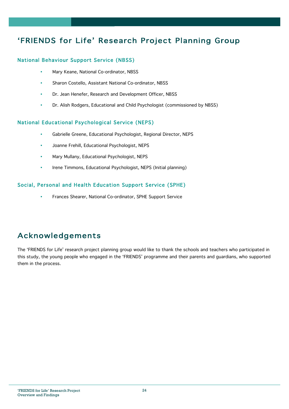## 'FRIENDS for Life' Research Project Planning Group

#### National Behaviour Support Service (NBSS)

- Mary Keane, National Co-ordinator, NBSS
- Sharon Costello, Assistant National Co-ordinator, NBSS
- Dr. Jean Henefer, Research and Development Officer, NBSS
- Dr. Alish Rodgers, Educational and Child Psychologist (commissioned by NBSS)

#### National Educational Psychological Service (NEPS)

- Gabrielle Greene, Educational Psychologist, Regional Director, NEPS
- Joanne Frehill, Educational Psychologist, NEPS
- Mary Mullany, Educational Psychologist, NEPS
- Irene Timmons, Educational Psychologist, NEPS (Initial planning)

#### Social, Personal and Health Education Support Service (SPHE)

• Frances Shearer, National Co-ordinator, SPHE Support Service

## Acknowledgements

The 'FRIENDS for Life' research project planning group would like to thank the schools and teachers who participated in this study, the young people who engaged in the 'FRIENDS' programme and their parents and guardians, who supported them in the process.